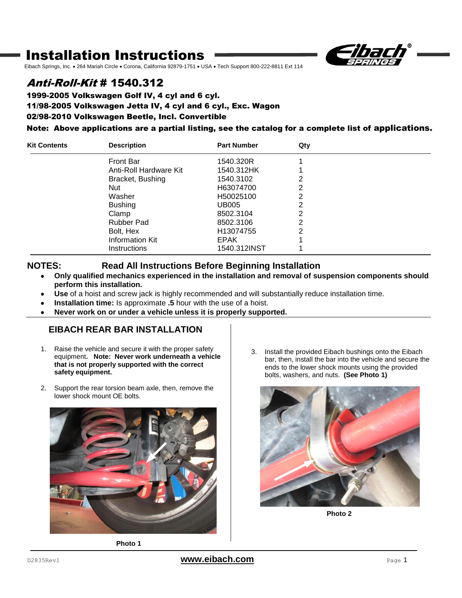# Installation Instructions



Eibach Springs, Inc. . 264 Mariah Circle . Corona, California 92879-1751 . USA · Tech Support 800-222-8811 Ext 114

## Anti-Roll-Kit # 1540.312

1999-2005 Volkswagen Golf IV, 4 cyl and 6 cyl. 11/98-2005 Volkswagen Jetta IV, 4 cyl and 6 cyl., Exc. Wagon 02/98-2010 Volkswagen Beetle, Incl. Convertible

### Note: Above applications are a partial listing, see the catalog for a complete list of applications.

| <b>Kit Contents</b> | <b>Description</b>     | <b>Part Number</b>    | Qty |  |
|---------------------|------------------------|-----------------------|-----|--|
|                     | Front Bar              | 1540.320R             |     |  |
|                     | Anti-Roll Hardware Kit | 1540.312HK            |     |  |
|                     | Bracket, Bushing       | 1540.3102             | 2   |  |
|                     | Nut                    | H63074700             | っ   |  |
|                     | Washer                 | H50025100             | 2   |  |
|                     | <b>Bushing</b>         | <b>UB005</b>          | 2   |  |
|                     | Clamp                  | 8502.3104             | 2   |  |
|                     | Rubber Pad             | 8502.3106             | 2   |  |
|                     | Bolt, Hex              | H <sub>13074755</sub> | っ   |  |
|                     | <b>Information Kit</b> | <b>EPAK</b>           |     |  |
|                     | <b>Instructions</b>    | 1540.312INST          |     |  |

### **NOTES: Read All Instructions Before Beginning Installation**

- **Only qualified mechanics experienced in the installation and removal of suspension components should perform this installation.**
- **Use** of a hoist and screw jack is highly recommended and will substantially reduce installation time.
- **Installation time:** Is approximate **.5** hour with the use of a hoist.
- **Never work on or under a vehicle unless it is properly supported.**

### **EIBACH REAR BAR INSTALLATION**

- 1. Raise the vehicle and secure it with the proper safety equipment**. Note: Never work underneath a vehicle that is not properly supported with the correct safety equipment.**
- 2. Support the rear torsion beam axle, then, remove the lower shock mount OE bolts.





3. Install the provided Eibach bushings onto the Eibach bar, then, install the bar into the vehicle and secure the ends to the lower shock mounts using the provided bolts, washers, and nuts. **(See Photo 1)**



**Photo 2**